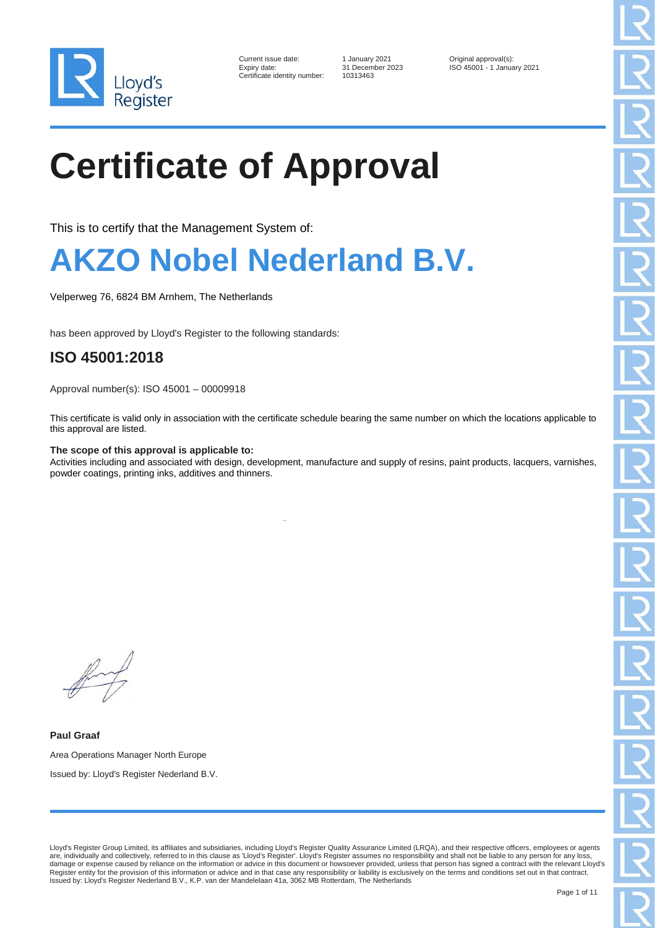

| Current issue date:        |
|----------------------------|
| Expiry date:               |
| Certificate identity numbe |

er: 10313463

1 January 2021 **Current Courrent Contains Container State Inc.**<br>Contains 1 January 1 SO 45001 - 1 January 1 January 1 SO 45001 - 1 January 1 January 1 January 1 Solomon 1 Solomon 1 January 1 January 1 January 1 January 1 J Expiry date: 31 December 2023 ISO 45001 - 1 January 2021

# **Certificate of Approval**

This is to certify that the Management System of:

### **AKZO Nobel Nederland B.V.**

Velperweg 76, 6824 BM Arnhem, The Netherlands

has been approved by Lloyd's Register to the following standards:

### **ISO 45001:2018**

Approval number(s): ISO 45001 – 00009918

This certificate is valid only in association with the certificate schedule bearing the same number on which the locations applicable to this approval are listed.

#### **The scope of this approval is applicable to:**

Activities including and associated with design, development, manufacture and supply of resins, paint products, lacquers, varnishes, powder coatings, printing inks, additives and thinners.

**Paul Graaf** Area Operations Manager North Europe Issued by: Lloyd's Register Nederland B.V.

Lloyd's Register Group Limited, its affiliates and subsidiaries, including Lloyd's Register Quality Assurance Limited (LRQA), and their respective officers, employees or agents are, individually and collectively, referred to in this clause as 'Lloyd's Register'. Lloyd's Register assumes no responsibility and shall not be liable to any person for any loss, damage or expense caused by reliance on the information or advice in this document or howsoever provided, unless that person has signed a contract with the relevant Lloyd's Register entity for the provision of this information or advice and in that case any responsibility or liability is exclusively on the terms and conditions set out in that contract. Issued by: Lloyd's Register Nederland B.V., K.P. van der Mandelelaan 41a, 3062 MB Rotterdam, The Netherlands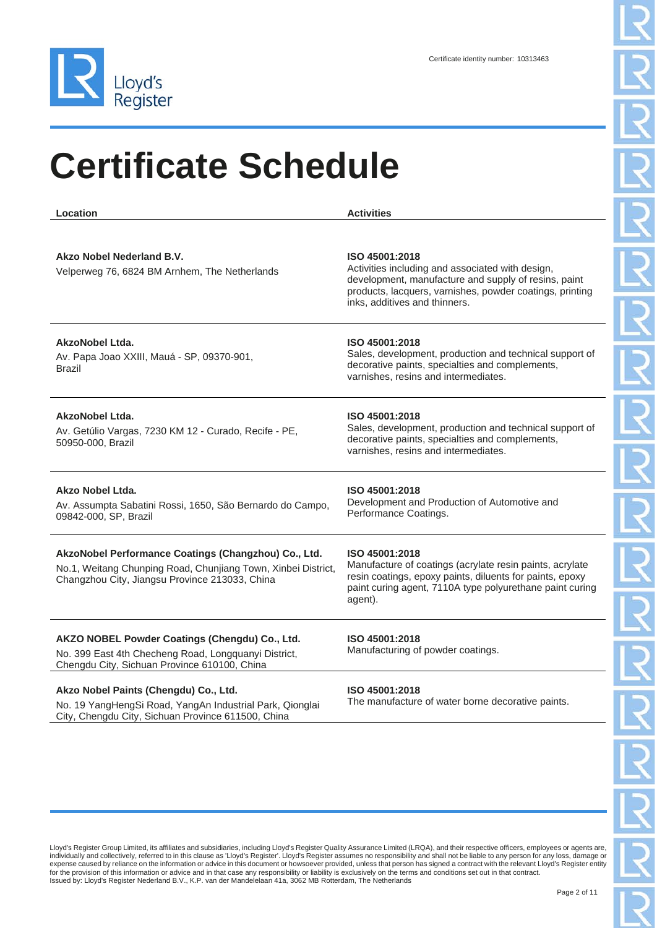

| Location                                                                                                                                                                | <b>Activities</b>                                                                                                                                                                                                       |
|-------------------------------------------------------------------------------------------------------------------------------------------------------------------------|-------------------------------------------------------------------------------------------------------------------------------------------------------------------------------------------------------------------------|
| Akzo Nobel Nederland B.V.<br>Velperweg 76, 6824 BM Arnhem, The Netherlands                                                                                              | ISO 45001:2018<br>Activities including and associated with design,<br>development, manufacture and supply of resins, paint<br>products, lacquers, varnishes, powder coatings, printing<br>inks, additives and thinners. |
| <b>AkzoNobel Ltda.</b><br>Av. Papa Joao XXIII, Mauá - SP, 09370-901,<br><b>Brazil</b>                                                                                   | ISO 45001:2018<br>Sales, development, production and technical support of<br>decorative paints, specialties and complements,<br>varnishes, resins and intermediates.                                                    |
| AkzoNobel Ltda.<br>Av. Getúlio Vargas, 7230 KM 12 - Curado, Recife - PE,<br>50950-000, Brazil                                                                           | ISO 45001:2018<br>Sales, development, production and technical support of<br>decorative paints, specialties and complements,<br>varnishes, resins and intermediates.                                                    |
| Akzo Nobel Ltda.<br>Av. Assumpta Sabatini Rossi, 1650, São Bernardo do Campo,<br>09842-000, SP, Brazil                                                                  | ISO 45001:2018<br>Development and Production of Automotive and<br>Performance Coatings.                                                                                                                                 |
| AkzoNobel Performance Coatings (Changzhou) Co., Ltd.<br>No.1, Weitang Chunping Road, Chunjiang Town, Xinbei District,<br>Changzhou City, Jiangsu Province 213033, China | ISO 45001:2018<br>Manufacture of coatings (acrylate resin paints, acrylate<br>resin coatings, epoxy paints, diluents for paints, epoxy<br>paint curing agent, 7110A type polyurethane paint curing<br>agent).           |
| AKZO NOBEL Powder Coatings (Chengdu) Co., Ltd.<br>No. 399 East 4th Checheng Road, Longquanyi District,<br>Chengdu City, Sichuan Province 610100, China                  | ISO 45001:2018<br>Manufacturing of powder coatings.                                                                                                                                                                     |
| Akzo Nobel Paints (Chengdu) Co., Ltd.<br>No. 19 YangHengSi Road, YangAn Industrial Park, Qionglai<br>City, Chengdu City, Sichuan Province 611500, China                 | ISO 45001:2018<br>The manufacture of water borne decorative paints.                                                                                                                                                     |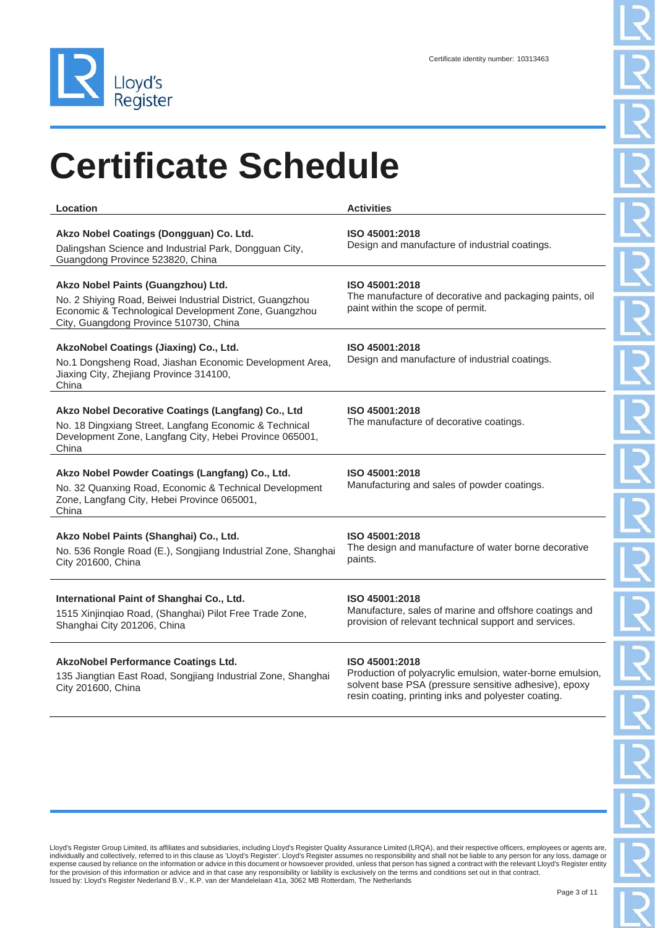

| Location                                                                                                                                                                                          | <b>Activities</b>                                                                                                                                                                           |
|---------------------------------------------------------------------------------------------------------------------------------------------------------------------------------------------------|---------------------------------------------------------------------------------------------------------------------------------------------------------------------------------------------|
| Akzo Nobel Coatings (Dongguan) Co. Ltd.<br>Dalingshan Science and Industrial Park, Dongguan City,<br>Guangdong Province 523820, China                                                             | ISO 45001:2018<br>Design and manufacture of industrial coatings.                                                                                                                            |
| Akzo Nobel Paints (Guangzhou) Ltd.<br>No. 2 Shiying Road, Beiwei Industrial District, Guangzhou<br>Economic & Technological Development Zone, Guangzhou<br>City, Guangdong Province 510730, China | ISO 45001:2018<br>The manufacture of decorative and packaging paints, oil<br>paint within the scope of permit.                                                                              |
| AkzoNobel Coatings (Jiaxing) Co., Ltd.<br>No.1 Dongsheng Road, Jiashan Economic Development Area,<br>Jiaxing City, Zhejiang Province 314100,<br>China                                             | ISO 45001:2018<br>Design and manufacture of industrial coatings.                                                                                                                            |
| Akzo Nobel Decorative Coatings (Langfang) Co., Ltd<br>No. 18 Dingxiang Street, Langfang Economic & Technical<br>Development Zone, Langfang City, Hebei Province 065001,<br>China                  | ISO 45001:2018<br>The manufacture of decorative coatings.                                                                                                                                   |
| Akzo Nobel Powder Coatings (Langfang) Co., Ltd.<br>No. 32 Quanxing Road, Economic & Technical Development<br>Zone, Langfang City, Hebei Province 065001,<br>China                                 | ISO 45001:2018<br>Manufacturing and sales of powder coatings.                                                                                                                               |
| Akzo Nobel Paints (Shanghai) Co., Ltd.<br>No. 536 Rongle Road (E.), Songjiang Industrial Zone, Shanghai<br>City 201600, China                                                                     | ISO 45001:2018<br>The design and manufacture of water borne decorative<br>paints.                                                                                                           |
| International Paint of Shanghai Co., Ltd.<br>1515 Xinjinqiao Road, (Shanghai) Pilot Free Trade Zone,<br>Shanghai City 201206, China                                                               | ISO 45001:2018<br>Manufacture, sales of marine and offshore coatings and<br>provision of relevant technical support and services.                                                           |
| <b>AkzoNobel Performance Coatings Ltd.</b><br>135 Jiangtian East Road, Songjiang Industrial Zone, Shanghai<br>City 201600, China                                                                  | ISO 45001:2018<br>Production of polyacrylic emulsion, water-borne emulsion,<br>solvent base PSA (pressure sensitive adhesive), epoxy<br>resin coating, printing inks and polyester coating. |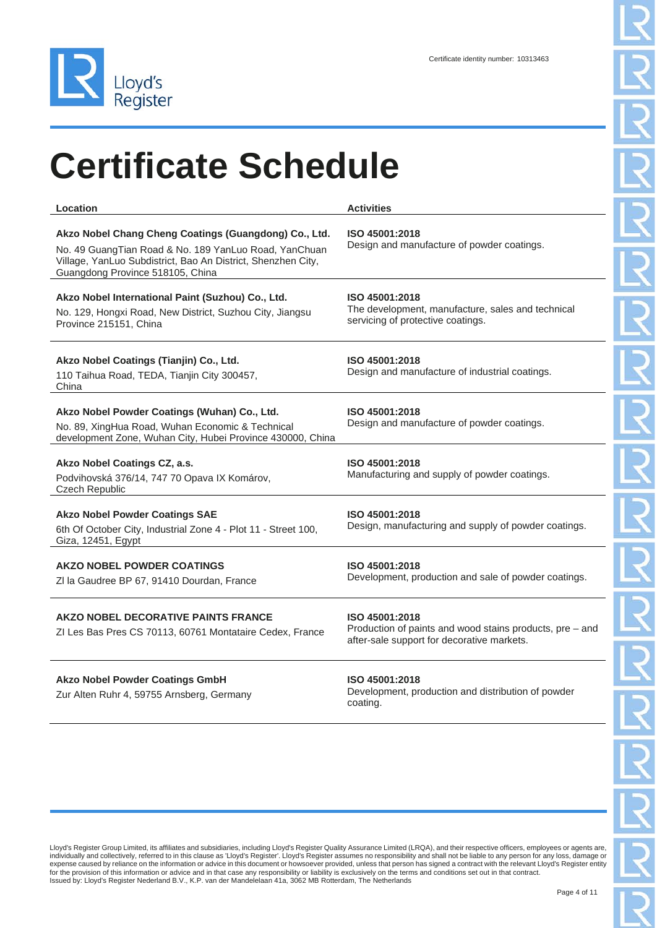

| Location                                                                                                                                                                                                              | <b>Activities</b>                                                                                                        |
|-----------------------------------------------------------------------------------------------------------------------------------------------------------------------------------------------------------------------|--------------------------------------------------------------------------------------------------------------------------|
| Akzo Nobel Chang Cheng Coatings (Guangdong) Co., Ltd.<br>No. 49 Guang Tian Road & No. 189 Yan Luo Road, Yan Chuan<br>Village, YanLuo Subdistrict, Bao An District, Shenzhen City,<br>Guangdong Province 518105, China | ISO 45001:2018<br>Design and manufacture of powder coatings.                                                             |
| Akzo Nobel International Paint (Suzhou) Co., Ltd.<br>No. 129, Hongxi Road, New District, Suzhou City, Jiangsu<br>Province 215151, China                                                                               | ISO 45001:2018<br>The development, manufacture, sales and technical<br>servicing of protective coatings.                 |
| Akzo Nobel Coatings (Tianjin) Co., Ltd.<br>110 Taihua Road, TEDA, Tianjin City 300457,<br>China                                                                                                                       | ISO 45001:2018<br>Design and manufacture of industrial coatings.                                                         |
| Akzo Nobel Powder Coatings (Wuhan) Co., Ltd.<br>No. 89, XingHua Road, Wuhan Economic & Technical<br>development Zone, Wuhan City, Hubei Province 430000, China                                                        | ISO 45001:2018<br>Design and manufacture of powder coatings.                                                             |
| Akzo Nobel Coatings CZ, a.s.<br>Podvihovská 376/14, 747 70 Opava IX Komárov,<br><b>Czech Republic</b>                                                                                                                 | ISO 45001:2018<br>Manufacturing and supply of powder coatings.                                                           |
| <b>Akzo Nobel Powder Coatings SAE</b><br>6th Of October City, Industrial Zone 4 - Plot 11 - Street 100,<br>Giza, 12451, Egypt                                                                                         | ISO 45001:2018<br>Design, manufacturing and supply of powder coatings.                                                   |
| <b>AKZO NOBEL POWDER COATINGS</b><br>ZI la Gaudree BP 67, 91410 Dourdan, France                                                                                                                                       | ISO 45001:2018<br>Development, production and sale of powder coatings.                                                   |
| AKZO NOBEL DECORATIVE PAINTS FRANCE<br>ZI Les Bas Pres CS 70113, 60761 Montataire Cedex, France                                                                                                                       | ISO 45001:2018<br>Production of paints and wood stains products, pre - and<br>after-sale support for decorative markets. |
| <b>Akzo Nobel Powder Coatings GmbH</b>                                                                                                                                                                                | ISO 45001:2018<br>Dovelopment, production and distribution of pought                                                     |

Zur Alten Ruhr 4, 59755 Arnsberg, Germany

Development, production and distribution of powder coating.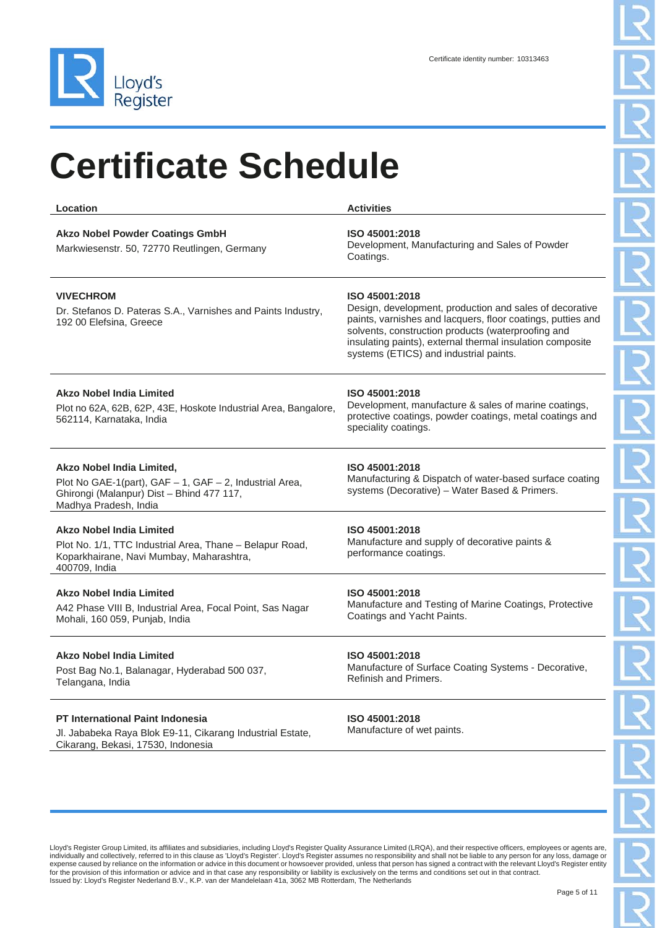

| <b>Location</b>                                                                                                                                            | <b>Activities</b>                                                                                                                                                                                                                                                                                     |
|------------------------------------------------------------------------------------------------------------------------------------------------------------|-------------------------------------------------------------------------------------------------------------------------------------------------------------------------------------------------------------------------------------------------------------------------------------------------------|
| <b>Akzo Nobel Powder Coatings GmbH</b><br>Markwiesenstr. 50, 72770 Reutlingen, Germany                                                                     | ISO 45001:2018<br>Development, Manufacturing and Sales of Powder<br>Coatings.                                                                                                                                                                                                                         |
| <b>VIVECHROM</b><br>Dr. Stefanos D. Pateras S.A., Varnishes and Paints Industry,<br>192 00 Elefsina, Greece                                                | ISO 45001:2018<br>Design, development, production and sales of decorative<br>paints, varnishes and lacquers, floor coatings, putties and<br>solvents, construction products (waterproofing and<br>insulating paints), external thermal insulation composite<br>systems (ETICS) and industrial paints. |
| <b>Akzo Nobel India Limited</b><br>Plot no 62A, 62B, 62P, 43E, Hoskote Industrial Area, Bangalore,<br>562114, Karnataka, India                             | ISO 45001:2018<br>Development, manufacture & sales of marine coatings,<br>protective coatings, powder coatings, metal coatings and<br>speciality coatings.                                                                                                                                            |
| Akzo Nobel India Limited,<br>Plot No GAE-1(part), GAF - 1, GAF - 2, Industrial Area,<br>Ghirongi (Malanpur) Dist - Bhind 477 117,<br>Madhya Pradesh, India | ISO 45001:2018<br>Manufacturing & Dispatch of water-based surface coating<br>systems (Decorative) - Water Based & Primers.                                                                                                                                                                            |
| <b>Akzo Nobel India Limited</b><br>Plot No. 1/1, TTC Industrial Area, Thane – Belapur Road,<br>Koparkhairane, Navi Mumbay, Maharashtra,<br>400709, India   | ISO 45001:2018<br>Manufacture and supply of decorative paints &<br>performance coatings.                                                                                                                                                                                                              |
| Akzo Nobel India Limited<br>A42 Phase VIII B, Industrial Area, Focal Point, Sas Nagar<br>Mohali, 160 059, Punjab, India                                    | ISO 45001:2018<br>Manufacture and Testing of Marine Coatings, Protective<br>Coatings and Yacht Paints.                                                                                                                                                                                                |
| <b>Akzo Nobel India Limited</b><br>Post Bag No.1, Balanagar, Hyderabad 500 037,<br>Telangana, India                                                        | ISO 45001:2018<br>Manufacture of Surface Coating Systems - Decorative,<br>Refinish and Primers.                                                                                                                                                                                                       |
| <b>PT International Paint Indonesia</b><br>Jl. Jababeka Raya Blok E9-11, Cikarang Industrial Estate,<br>Cikarang, Bekasi, 17530, Indonesia                 | ISO 45001:2018<br>Manufacture of wet paints.                                                                                                                                                                                                                                                          |
|                                                                                                                                                            |                                                                                                                                                                                                                                                                                                       |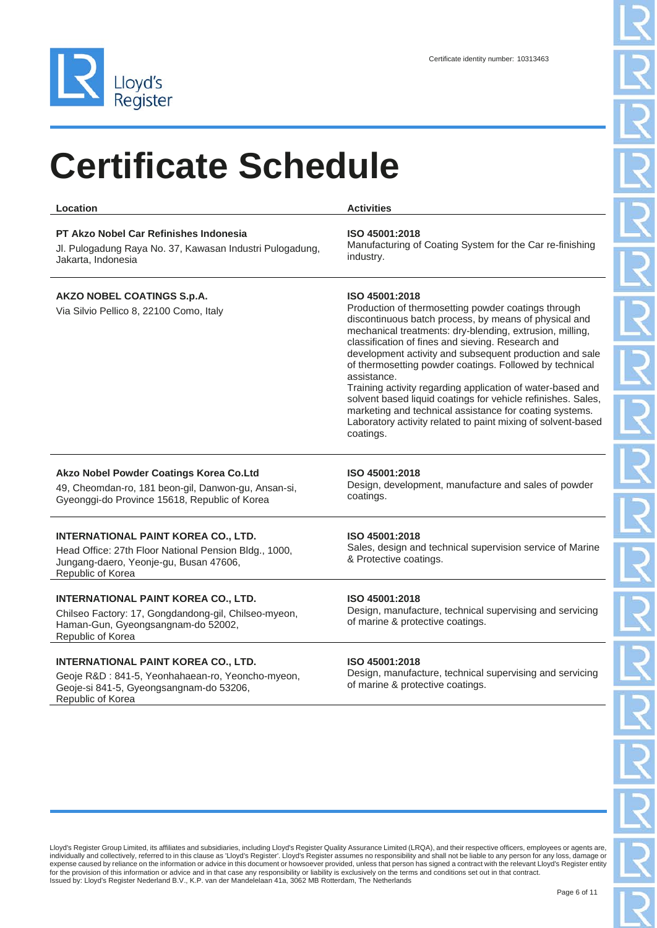

**Location Activities**

#### **PT Akzo Nobel Car Refinishes Indonesia**

Jl. Pulogadung Raya No. 37, Kawasan Industri Pulogadung, Jakarta, Indonesia

#### **AKZO NOBEL COATINGS S.p.A.**

Via Silvio Pellico 8, 22100 Como, Italy

#### **ISO 45001:2018**

Manufacturing of Coating System for the Car re-finishing industry.

#### **ISO 45001:2018**

Production of thermosetting powder coatings through discontinuous batch process, by means of physical and mechanical treatments: dry-blending, extrusion, milling, classification of fines and sieving. Research and development activity and subsequent production and sale of thermosetting powder coatings. Followed by technical assistance.

Training activity regarding application of water-based and solvent based liquid coatings for vehicle refinishes. Sales, marketing and technical assistance for coating systems. Laboratory activity related to paint mixing of solvent-based coatings.

#### **Akzo Nobel Powder Coatings Korea Co.Ltd**

49, Cheomdan-ro, 181 beon-gil, Danwon-gu, Ansan-si, Gyeonggi-do Province 15618, Republic of Korea

#### **INTERNATIONAL PAINT KOREA CO., LTD.**

Head Office: 27th Floor National Pension Bldg., 1000, Jungang-daero, Yeonje-gu, Busan 47606, Republic of Korea

#### **INTERNATIONAL PAINT KOREA CO., LTD.**

Chilseo Factory: 17, Gongdandong-gil, Chilseo-myeon, Haman-Gun, Gyeongsangnam-do 52002, Republic of Korea

#### **INTERNATIONAL PAINT KOREA CO., LTD.**

Geoje R&D : 841-5, Yeonhahaean-ro, Yeoncho-myeon, Geoje-si 841-5, Gyeongsangnam-do 53206, Republic of Korea

#### **ISO 45001:2018**

Design, development, manufacture and sales of powder coatings.

#### **ISO 45001:2018**

Sales, design and technical supervision service of Marine & Protective coatings.

#### **ISO 45001:2018**

Design, manufacture, technical supervising and servicing of marine & protective coatings.

#### **ISO 45001:2018**

Design, manufacture, technical supervising and servicing of marine & protective coatings.

Lloyd's Register Group Limited, its affiliates and subsidiaries, including Lloyd's Register Quality Assurance Limited (LRQA), and their respective officers, employees or agents are, individually and collectively, referred to in this clause as 'Lloyd's Register'. Lloyd's Register assumes no responsibility and shall not be liable to any person for any loss, damage or expense caused by reliance on the information or advice in this document or howsoever provided, unless that person has signed a contract with the relevant Lloyd's Register entity for the provision of this information or advice and in that case any responsibility or liability is exclusively on the terms and conditions set out in that contract. Issued by: Lloyd's Register Nederland B.V., K.P. van der Mandelelaan 41a, 3062 MB Rotterdam, The Netherlands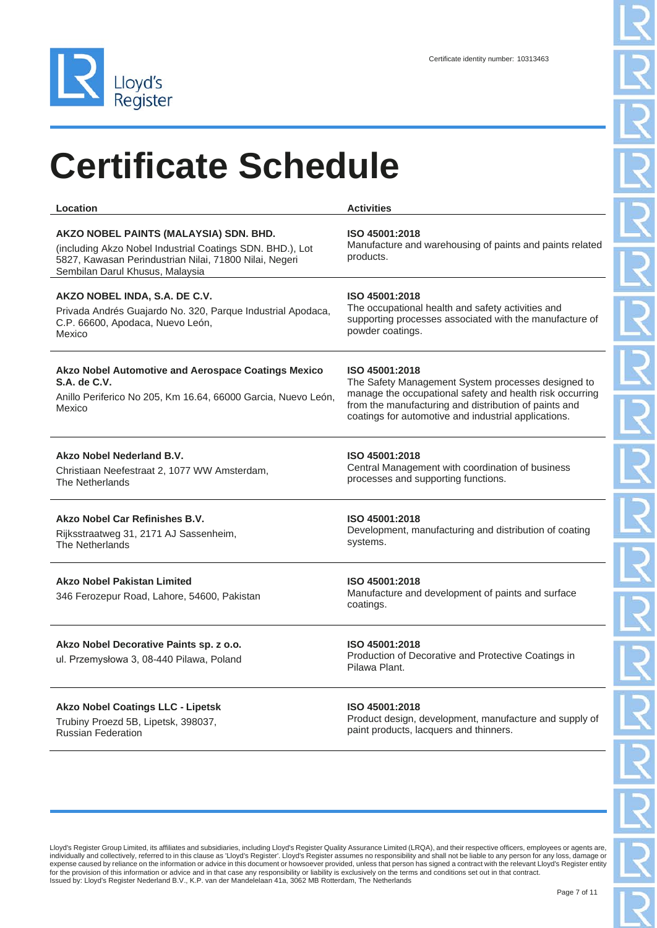

| Location                                                                                                                                                                                         | <b>Activities</b>                                                                                                                                                                                                                                 |
|--------------------------------------------------------------------------------------------------------------------------------------------------------------------------------------------------|---------------------------------------------------------------------------------------------------------------------------------------------------------------------------------------------------------------------------------------------------|
| AKZO NOBEL PAINTS (MALAYSIA) SDN. BHD.<br>(including Akzo Nobel Industrial Coatings SDN. BHD.), Lot<br>5827, Kawasan Perindustrian Nilai, 71800 Nilai, Negeri<br>Sembilan Darul Khusus, Malaysia | ISO 45001:2018<br>Manufacture and warehousing of paints and paints related<br>products.                                                                                                                                                           |
| AKZO NOBEL INDA, S.A. DE C.V.<br>Privada Andrés Guajardo No. 320, Parque Industrial Apodaca,<br>C.P. 66600, Apodaca, Nuevo León,<br>Mexico                                                       | ISO 45001:2018<br>The occupational health and safety activities and<br>supporting processes associated with the manufacture of<br>powder coatings.                                                                                                |
| Akzo Nobel Automotive and Aerospace Coatings Mexico<br>S.A. de C.V.<br>Anillo Periferico No 205, Km 16.64, 66000 Garcia, Nuevo León,<br>Mexico                                                   | ISO 45001:2018<br>The Safety Management System processes designed to<br>manage the occupational safety and health risk occurring<br>from the manufacturing and distribution of paints and<br>coatings for automotive and industrial applications. |
| Akzo Nobel Nederland B.V.<br>Christiaan Neefestraat 2, 1077 WW Amsterdam,<br>The Netherlands                                                                                                     | ISO 45001:2018<br>Central Management with coordination of business<br>processes and supporting functions.                                                                                                                                         |
| Akzo Nobel Car Refinishes B.V.<br>Rijksstraatweg 31, 2171 AJ Sassenheim,<br><b>The Netherlands</b>                                                                                               | ISO 45001:2018<br>Development, manufacturing and distribution of coating<br>systems.                                                                                                                                                              |
| <b>Akzo Nobel Pakistan Limited</b><br>346 Ferozepur Road, Lahore, 54600, Pakistan                                                                                                                | ISO 45001:2018<br>Manufacture and development of paints and surface<br>coatings.                                                                                                                                                                  |
| Akzo Nobel Decorative Paints sp. z o.o.<br>ul. Przemysłowa 3, 08-440 Pilawa, Poland                                                                                                              | ISO 45001:2018<br>Production of Decorative and Protective Coatings in<br>Pilawa Plant.                                                                                                                                                            |
| <b>Akzo Nobel Coatings LLC - Lipetsk</b><br>Trubiny Proezd 5B, Lipetsk, 398037,<br><b>Russian Federation</b>                                                                                     | ISO 45001:2018<br>Product design, development, manufacture and supply of<br>paint products, lacquers and thinners.                                                                                                                                |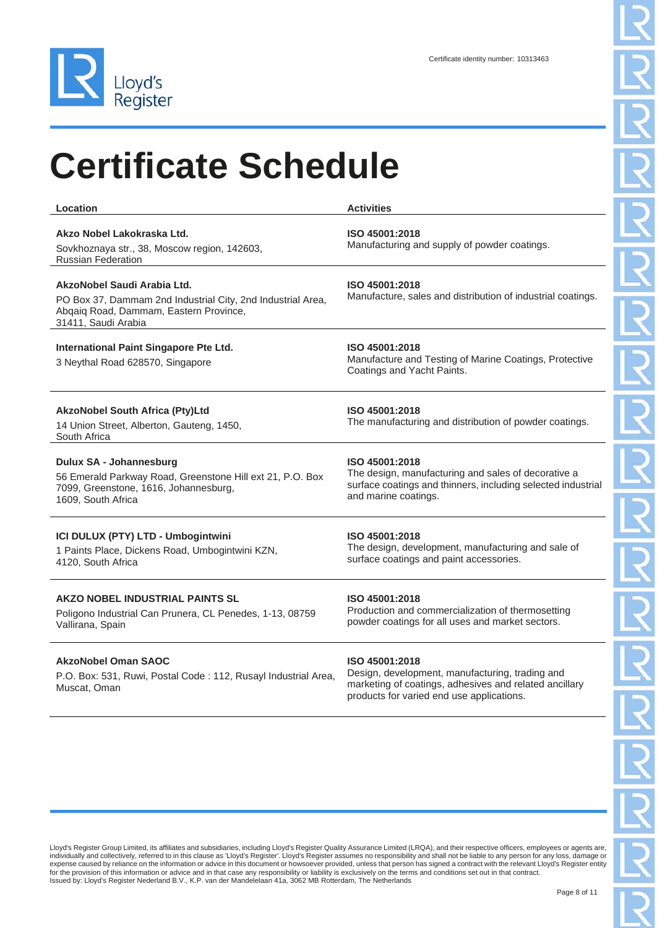

| Location                                                                                                                                                    | <b>Activities</b>                                                                                                                                             |
|-------------------------------------------------------------------------------------------------------------------------------------------------------------|---------------------------------------------------------------------------------------------------------------------------------------------------------------|
| Akzo Nobel Lakokraska Ltd.<br>Sovkhoznaya str., 38, Moscow region, 142603,<br><b>Russian Federation</b>                                                     | ISO 45001:2018<br>Manufacturing and supply of powder coatings.                                                                                                |
| AkzoNobel Saudi Arabia Ltd.<br>PO Box 37, Dammam 2nd Industrial City, 2nd Industrial Area,<br>Abqaiq Road, Dammam, Eastern Province,<br>31411, Saudi Arabia | ISO 45001:2018<br>Manufacture, sales and distribution of industrial coatings.                                                                                 |
| International Paint Singapore Pte Ltd.<br>3 Neythal Road 628570, Singapore                                                                                  | ISO 45001:2018<br>Manufacture and Testing of Marine Coatings, Protective<br>Coatings and Yacht Paints.                                                        |
| <b>AkzoNobel South Africa (Pty)Ltd</b><br>14 Union Street, Alberton, Gauteng, 1450,<br>South Africa                                                         | ISO 45001:2018<br>The manufacturing and distribution of powder coatings.                                                                                      |
| Dulux SA - Johannesburg<br>56 Emerald Parkway Road, Greenstone Hill ext 21, P.O. Box<br>7099, Greenstone, 1616, Johannesburg,<br>1609, South Africa         | ISO 45001:2018<br>The design, manufacturing and sales of decorative a<br>surface coatings and thinners, including selected industrial<br>and marine coatings. |
| ICI DULUX (PTY) LTD - Umbogintwini<br>1 Paints Place, Dickens Road, Umbogintwini KZN,<br>4120, South Africa                                                 | ISO 45001:2018<br>The design, development, manufacturing and sale of<br>surface coatings and paint accessories.                                               |
| <b>AKZO NOBEL INDUSTRIAL PAINTS SL</b><br>Poligono Industrial Can Prunera, CL Penedes, 1-13, 08759<br>Vallirana, Spain                                      | ISO 45001:2018<br>Production and commercialization of thermosetting<br>powder coatings for all uses and market sectors.                                       |
| <b>AkzoNobel Oman SAOC</b><br>P.O. Box: 531, Ruwi, Postal Code: 112, Rusayl Industrial Area,<br>Muscat, Oman                                                | ISO 45001:2018<br>Design, development, manufacturing, trading and<br>marketing of coatings, adhesives and related ancillary                                   |

Lloyd's Register Group Limited, its affiliates and subsidiaries, including Lloyd's Register Quality Assurance Limited (LRQA), and their respective officers, employees or agents are, individually and collectively, referred to in this clause as 'Lloyd's Register'. Lloyd's Register assumes no responsibility and shall not be liable to any person for any loss, damage or<br>expense caused by reliance on the in

products for varied end use applications.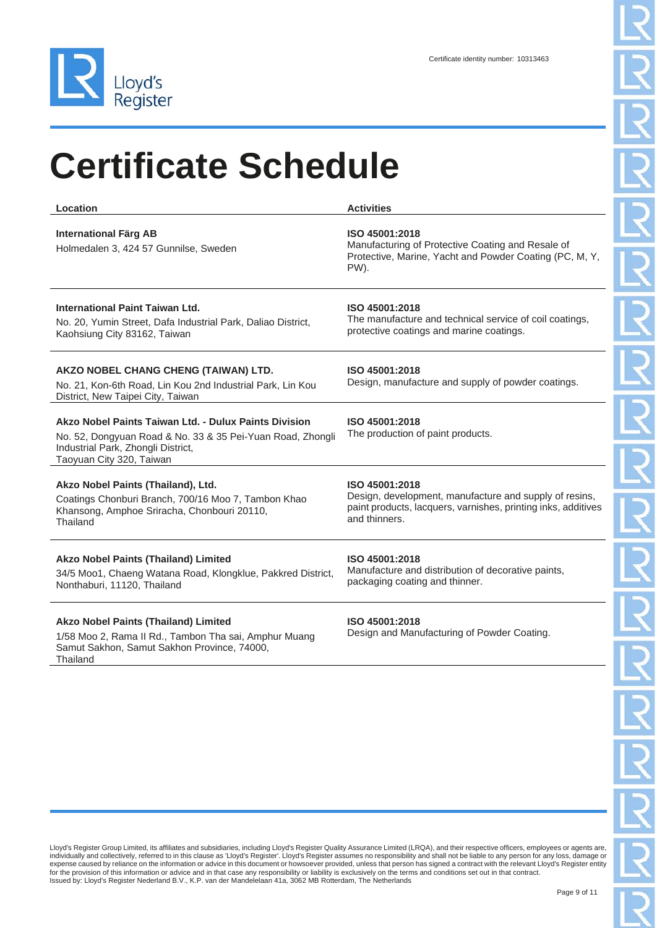

| Location                                                                                                                                                                              | <b>Activities</b>                                                                                                                                          |
|---------------------------------------------------------------------------------------------------------------------------------------------------------------------------------------|------------------------------------------------------------------------------------------------------------------------------------------------------------|
| <b>International Färg AB</b><br>Holmedalen 3, 424 57 Gunnilse, Sweden                                                                                                                 | ISO 45001:2018<br>Manufacturing of Protective Coating and Resale of<br>Protective, Marine, Yacht and Powder Coating (PC, M, Y,<br>PW).                     |
| International Paint Taiwan Ltd.<br>No. 20, Yumin Street, Dafa Industrial Park, Daliao District,<br>Kaohsiung City 83162, Taiwan                                                       | ISO 45001:2018<br>The manufacture and technical service of coil coatings,<br>protective coatings and marine coatings.                                      |
| AKZO NOBEL CHANG CHENG (TAIWAN) LTD.<br>No. 21, Kon-6th Road, Lin Kou 2nd Industrial Park, Lin Kou<br>District, New Taipei City, Taiwan                                               | ISO 45001:2018<br>Design, manufacture and supply of powder coatings.                                                                                       |
| Akzo Nobel Paints Taiwan Ltd. - Dulux Paints Division<br>No. 52, Dongyuan Road & No. 33 & 35 Pei-Yuan Road, Zhongli<br>Industrial Park, Zhongli District,<br>Taoyuan City 320, Taiwan | ISO 45001:2018<br>The production of paint products.                                                                                                        |
| Akzo Nobel Paints (Thailand), Ltd.<br>Coatings Chonburi Branch, 700/16 Moo 7, Tambon Khao<br>Khansong, Amphoe Sriracha, Chonbouri 20110,<br>Thailand                                  | ISO 45001:2018<br>Design, development, manufacture and supply of resins,<br>paint products, lacquers, varnishes, printing inks, additives<br>and thinners. |
| <b>Akzo Nobel Paints (Thailand) Limited</b><br>34/5 Moo1, Chaeng Watana Road, Klongklue, Pakkred District,<br>Nonthaburi, 11120, Thailand                                             | ISO 45001:2018<br>Manufacture and distribution of decorative paints,<br>packaging coating and thinner.                                                     |
|                                                                                                                                                                                       |                                                                                                                                                            |

#### **Akzo Nobel Paints (Thailand) Limited**

1/58 Moo 2, Rama II Rd., Tambon Tha sai, Amphur Muang Samut Sakhon, Samut Sakhon Province, 74000, Thailand

#### **ISO 45001:2018**

Design and Manufacturing of Powder Coating.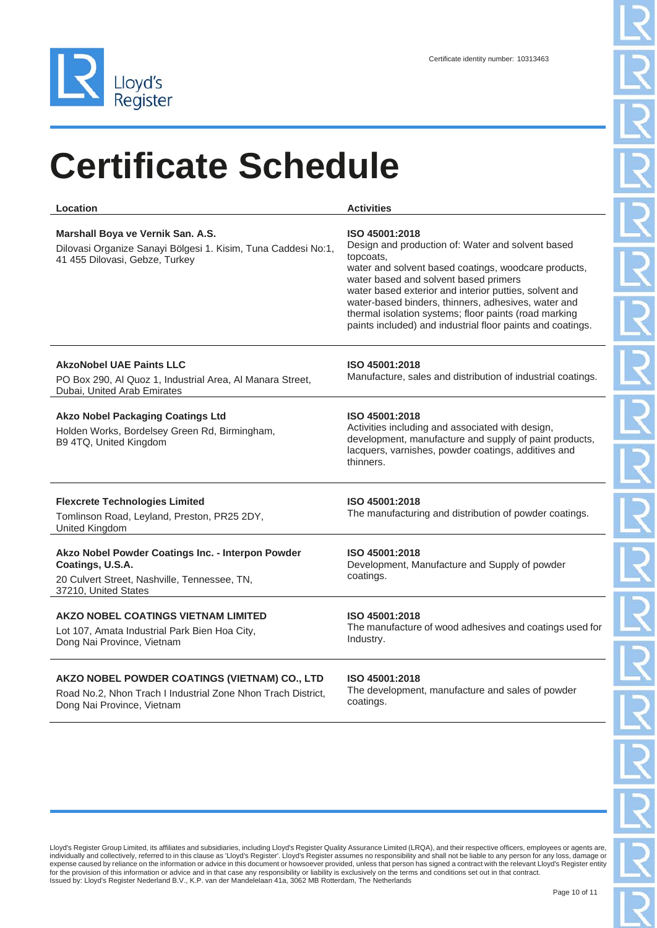

| Location                                                                                                                                      | <b>Activities</b>                                                                                                                                                                                                                                                                                                                                                                                                         |
|-----------------------------------------------------------------------------------------------------------------------------------------------|---------------------------------------------------------------------------------------------------------------------------------------------------------------------------------------------------------------------------------------------------------------------------------------------------------------------------------------------------------------------------------------------------------------------------|
| Marshall Boya ve Vernik San. A.S.<br>Dilovasi Organize Sanayi Bölgesi 1. Kisim, Tuna Caddesi No:1,<br>41 455 Dilovasi, Gebze, Turkey          | ISO 45001:2018<br>Design and production of: Water and solvent based<br>topcoats,<br>water and solvent based coatings, woodcare products,<br>water based and solvent based primers<br>water based exterior and interior putties, solvent and<br>water-based binders, thinners, adhesives, water and<br>thermal isolation systems; floor paints (road marking<br>paints included) and industrial floor paints and coatings. |
| <b>AkzoNobel UAE Paints LLC</b><br>PO Box 290, Al Quoz 1, Industrial Area, Al Manara Street,<br>Dubai, United Arab Emirates                   | ISO 45001:2018<br>Manufacture, sales and distribution of industrial coatings.                                                                                                                                                                                                                                                                                                                                             |
| <b>Akzo Nobel Packaging Coatings Ltd</b><br>Holden Works, Bordelsey Green Rd, Birmingham,<br>B9 4TQ, United Kingdom                           | ISO 45001:2018<br>Activities including and associated with design,<br>development, manufacture and supply of paint products,<br>lacquers, varnishes, powder coatings, additives and<br>thinners.                                                                                                                                                                                                                          |
| <b>Flexcrete Technologies Limited</b><br>Tomlinson Road, Leyland, Preston, PR25 2DY,<br>United Kingdom                                        | ISO 45001:2018<br>The manufacturing and distribution of powder coatings.                                                                                                                                                                                                                                                                                                                                                  |
| Akzo Nobel Powder Coatings Inc. - Interpon Powder<br>Coatings, U.S.A.<br>20 Culvert Street, Nashville, Tennessee, TN,<br>37210, United States | ISO 45001:2018<br>Development, Manufacture and Supply of powder<br>coatings.                                                                                                                                                                                                                                                                                                                                              |
| AKZO NOBEL COATINGS VIETNAM LIMITED<br>Lot 107, Amata Industrial Park Bien Hoa City,<br>Dong Nai Province, Vietnam                            | ISO 45001:2018<br>The manufacture of wood adhesives and coatings used for<br>Industry.                                                                                                                                                                                                                                                                                                                                    |
| AKZO NOBEL POWDER COATINGS (VIETNAM) CO., LTD                                                                                                 | ISO 45001:2018                                                                                                                                                                                                                                                                                                                                                                                                            |

Road No.2, Nhon Trach I Industrial Zone Nhon Trach District, Dong Nai Province, Vietnam

#### The development, manufacture and sales of powder coatings.